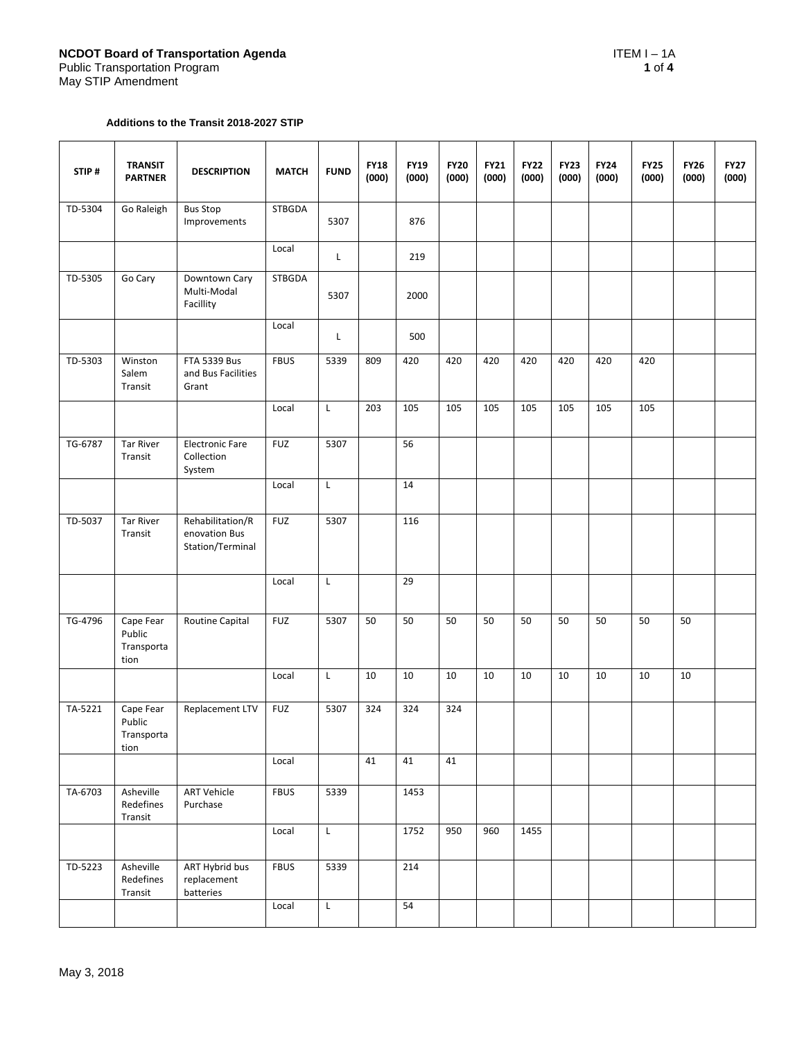#### **Additions to the Transit 2018-2027 STIP**

| STIP#   | <b>TRANSIT</b><br><b>PARTNER</b>          | <b>DESCRIPTION</b>                                    | <b>MATCH</b>  | <b>FUND</b> | <b>FY18</b><br>(000) | <b>FY19</b><br>(000) | <b>FY20</b><br>(000) | <b>FY21</b><br>(000) | <b>FY22</b><br>(000) | <b>FY23</b><br>(000) | <b>FY24</b><br>(000) | <b>FY25</b><br>(000) | <b>FY26</b><br>(000) | <b>FY27</b><br>(000) |
|---------|-------------------------------------------|-------------------------------------------------------|---------------|-------------|----------------------|----------------------|----------------------|----------------------|----------------------|----------------------|----------------------|----------------------|----------------------|----------------------|
| TD-5304 | Go Raleigh                                | <b>Bus Stop</b><br>Improvements                       | <b>STBGDA</b> | 5307        |                      | 876                  |                      |                      |                      |                      |                      |                      |                      |                      |
|         |                                           |                                                       | Local         | L           |                      | 219                  |                      |                      |                      |                      |                      |                      |                      |                      |
| TD-5305 | Go Cary                                   | Downtown Cary<br>Multi-Modal<br>Facillity             | STBGDA        | 5307        |                      | 2000                 |                      |                      |                      |                      |                      |                      |                      |                      |
|         |                                           |                                                       | Local         | L           |                      | 500                  |                      |                      |                      |                      |                      |                      |                      |                      |
| TD-5303 | Winston<br>Salem<br>Transit               | <b>FTA 5339 Bus</b><br>and Bus Facilities<br>Grant    | <b>FBUS</b>   | 5339        | 809                  | 420                  | 420                  | 420                  | 420                  | 420                  | 420                  | 420                  |                      |                      |
|         |                                           |                                                       | Local         | L           | 203                  | 105                  | 105                  | 105                  | 105                  | 105                  | 105                  | 105                  |                      |                      |
| TG-6787 | <b>Tar River</b><br>Transit               | <b>Electronic Fare</b><br>Collection<br>System        | <b>FUZ</b>    | 5307        |                      | 56                   |                      |                      |                      |                      |                      |                      |                      |                      |
|         |                                           |                                                       | Local         | L           |                      | 14                   |                      |                      |                      |                      |                      |                      |                      |                      |
| TD-5037 | <b>Tar River</b><br>Transit               | Rehabilitation/R<br>enovation Bus<br>Station/Terminal | <b>FUZ</b>    | 5307        |                      | 116                  |                      |                      |                      |                      |                      |                      |                      |                      |
|         |                                           |                                                       | Local         | L           |                      | 29                   |                      |                      |                      |                      |                      |                      |                      |                      |
| TG-4796 | Cape Fear<br>Public<br>Transporta<br>tion | Routine Capital                                       | <b>FUZ</b>    | 5307        | 50                   | 50                   | 50                   | 50                   | 50                   | 50                   | 50                   | 50                   | 50                   |                      |
|         |                                           |                                                       | Local         | L           | 10                   | 10                   | 10                   | 10                   | 10                   | 10                   | 10                   | 10                   | 10                   |                      |
| TA-5221 | Cape Fear<br>Public<br>Transporta<br>tion | Replacement LTV                                       | <b>FUZ</b>    | 5307        | 324                  | 324                  | 324                  |                      |                      |                      |                      |                      |                      |                      |
|         |                                           |                                                       | Local         |             | 41                   | 41                   | 41                   |                      |                      |                      |                      |                      |                      |                      |
| TA-6703 | Asheville<br>Redefines<br>Transit         | <b>ART Vehicle</b><br>Purchase                        | <b>FBUS</b>   | 5339        |                      | 1453                 |                      |                      |                      |                      |                      |                      |                      |                      |
|         |                                           |                                                       | Local         | L           |                      | 1752                 | 950                  | 960                  | 1455                 |                      |                      |                      |                      |                      |
| TD-5223 | Asheville<br>Redefines<br>Transit         | <b>ART Hybrid bus</b><br>replacement<br>batteries     | <b>FBUS</b>   | 5339        |                      | 214                  |                      |                      |                      |                      |                      |                      |                      |                      |
|         |                                           |                                                       | Local         | L           |                      | 54                   |                      |                      |                      |                      |                      |                      |                      |                      |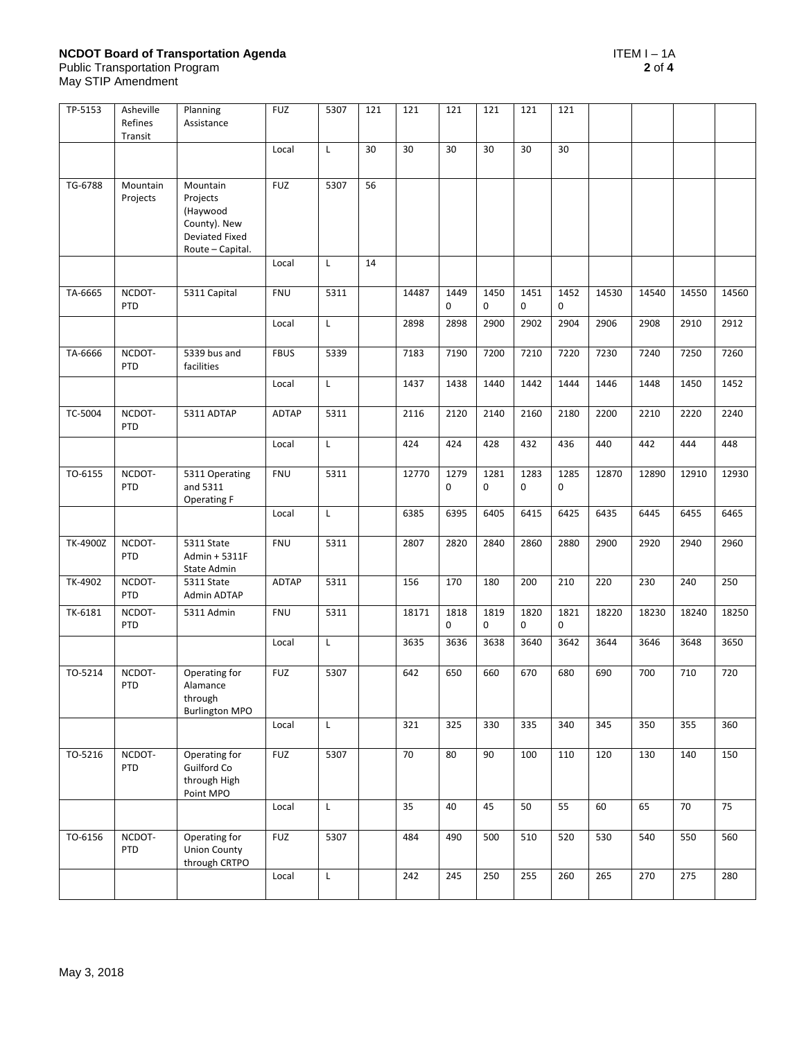# **NCDOT Board of Transportation Agenda** ITEM I – 1A

Public Transportation Program **2** of **4**

May STIP Amendment

| TP-5153  | Asheville<br>Refines<br>Transit | Planning<br>Assistance                                                                 | <b>FUZ</b>   | 5307         | 121 | 121   | 121                 | 121                 | 121                 | 121                 |       |       |       |       |
|----------|---------------------------------|----------------------------------------------------------------------------------------|--------------|--------------|-----|-------|---------------------|---------------------|---------------------|---------------------|-------|-------|-------|-------|
|          |                                 |                                                                                        | Local        | L            | 30  | 30    | 30                  | 30                  | 30                  | 30                  |       |       |       |       |
| TG-6788  | Mountain<br>Projects            | Mountain<br>Projects<br>(Haywood<br>County). New<br>Deviated Fixed<br>Route - Capital. | <b>FUZ</b>   | 5307         | 56  |       |                     |                     |                     |                     |       |       |       |       |
|          |                                 |                                                                                        | Local        | L            | 14  |       |                     |                     |                     |                     |       |       |       |       |
| TA-6665  | NCDOT-<br>PTD                   | 5311 Capital                                                                           | <b>FNU</b>   | 5311         |     | 14487 | 1449<br>$\mathbf 0$ | 1450<br>$\mathbf 0$ | 1451<br>$\mathbf 0$ | 1452<br>$\mathbf 0$ | 14530 | 14540 | 14550 | 14560 |
|          |                                 |                                                                                        | Local        | Г            |     | 2898  | 2898                | 2900                | 2902                | 2904                | 2906  | 2908  | 2910  | 2912  |
| TA-6666  | NCDOT-<br>PTD                   | 5339 bus and<br>facilities                                                             | <b>FBUS</b>  | 5339         |     | 7183  | 7190                | 7200                | 7210                | 7220                | 7230  | 7240  | 7250  | 7260  |
|          |                                 |                                                                                        | Local        | L            |     | 1437  | 1438                | 1440                | 1442                | 1444                | 1446  | 1448  | 1450  | 1452  |
| TC-5004  | NCDOT-<br><b>PTD</b>            | 5311 ADTAP                                                                             | <b>ADTAP</b> | 5311         |     | 2116  | 2120                | 2140                | 2160                | 2180                | 2200  | 2210  | 2220  | 2240  |
|          |                                 |                                                                                        | Local        | L            |     | 424   | 424                 | 428                 | 432                 | 436                 | 440   | 442   | 444   | 448   |
| TO-6155  | NCDOT-<br>PTD                   | 5311 Operating<br>and 5311<br>Operating F                                              | <b>FNU</b>   | 5311         |     | 12770 | 1279<br>$\mathbf 0$ | 1281<br>$\mathbf 0$ | 1283<br>0           | 1285<br>0           | 12870 | 12890 | 12910 | 12930 |
|          |                                 |                                                                                        | Local        | L            |     | 6385  | 6395                | 6405                | 6415                | 6425                | 6435  | 6445  | 6455  | 6465  |
| TK-4900Z | NCDOT-<br>PTD                   | 5311 State<br>Admin + 5311F<br>State Admin                                             | <b>FNU</b>   | 5311         |     | 2807  | 2820                | 2840                | 2860                | 2880                | 2900  | 2920  | 2940  | 2960  |
| TK-4902  | NCDOT-<br>PTD                   | 5311 State<br>Admin ADTAP                                                              | ADTAP        | 5311         |     | 156   | 170                 | 180                 | 200                 | 210                 | 220   | 230   | 240   | 250   |
| TK-6181  | NCDOT-<br>PTD                   | 5311 Admin                                                                             | <b>FNU</b>   | 5311         |     | 18171 | 1818<br>$\mathbf 0$ | 1819<br>$\mathbf 0$ | 1820<br>$\pmb{0}$   | 1821<br>0           | 18220 | 18230 | 18240 | 18250 |
|          |                                 |                                                                                        | Local        | L            |     | 3635  | 3636                | 3638                | 3640                | 3642                | 3644  | 3646  | 3648  | 3650  |
| TO-5214  | NCDOT-<br>PTD                   | Operating for<br>Alamance<br>through<br><b>Burlington MPO</b>                          | <b>FUZ</b>   | 5307         |     | 642   | 650                 | 660                 | 670                 | 680                 | 690   | 700   | 710   | 720   |
|          |                                 |                                                                                        | Local        | $\mathsf{L}$ |     | 321   | 325                 | 330                 | 335                 | 340                 | 345   | 350   | 355   | 360   |
| TO-5216  | NCDOT-<br>PTD                   | Operating for<br>Guilford Co<br>through High<br>Point MPO                              | <b>FUZ</b>   | 5307         |     | 70    | 80                  | 90                  | 100                 | 110                 | 120   | 130   | 140   | 150   |
|          |                                 |                                                                                        | Local        | L            |     | 35    | 40                  | 45                  | 50                  | 55                  | 60    | 65    | 70    | 75    |
| TO-6156  | NCDOT-<br>PTD                   | Operating for<br><b>Union County</b><br>through CRTPO                                  | <b>FUZ</b>   | 5307         |     | 484   | 490                 | 500                 | 510                 | 520                 | 530   | 540   | 550   | 560   |
|          |                                 |                                                                                        | Local        | $\mathsf{L}$ |     | 242   | 245                 | 250                 | 255                 | 260                 | 265   | 270   | 275   | 280   |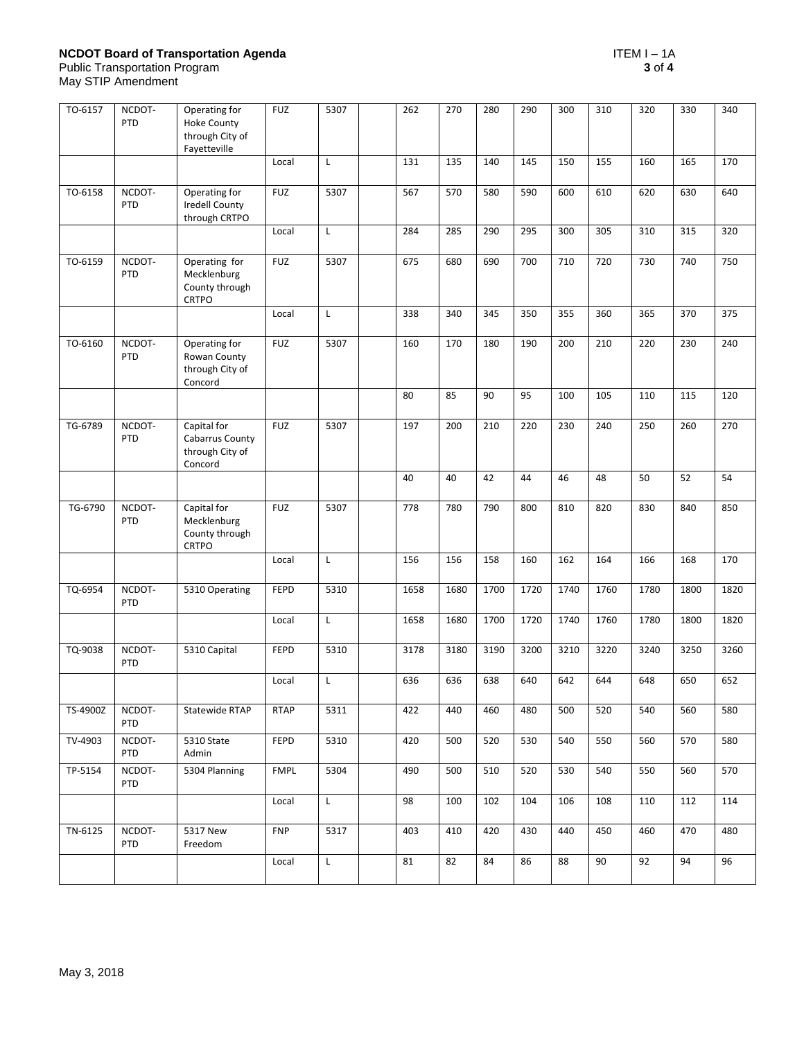## **NCDOT Board of Transportation Agenda** ITEM I – 1A

May STIP Amendment

| TO-6157  | NCDOT-<br>PTD        | Operating for<br><b>Hoke County</b><br>through City of<br>Fayetteville | <b>FUZ</b>  | 5307         | 262  | 270  | 280  | 290  | 300  | 310  | 320  | 330  | 340  |
|----------|----------------------|------------------------------------------------------------------------|-------------|--------------|------|------|------|------|------|------|------|------|------|
|          |                      |                                                                        | Local       | L.           | 131  | 135  | 140  | 145  | 150  | 155  | 160  | 165  | 170  |
| TO-6158  | NCDOT-<br>PTD        | Operating for<br><b>Iredell County</b><br>through CRTPO                | <b>FUZ</b>  | 5307         | 567  | 570  | 580  | 590  | 600  | 610  | 620  | 630  | 640  |
|          |                      |                                                                        | Local       | $\mathsf{L}$ | 284  | 285  | 290  | 295  | 300  | 305  | 310  | 315  | 320  |
| TO-6159  | NCDOT-<br>PTD        | Operating for<br>Mecklenburg<br>County through<br><b>CRTPO</b>         | <b>FUZ</b>  | 5307         | 675  | 680  | 690  | 700  | 710  | 720  | 730  | 740  | 750  |
|          |                      |                                                                        | Local       | L            | 338  | 340  | 345  | 350  | 355  | 360  | 365  | 370  | 375  |
| TO-6160  | NCDOT-<br>PTD        | Operating for<br>Rowan County<br>through City of<br>Concord            | <b>FUZ</b>  | 5307         | 160  | 170  | 180  | 190  | 200  | 210  | 220  | 230  | 240  |
|          |                      |                                                                        |             |              | 80   | 85   | 90   | 95   | 100  | 105  | 110  | 115  | 120  |
| TG-6789  | NCDOT-<br><b>PTD</b> | Capital for<br>Cabarrus County<br>through City of<br>Concord           | <b>FUZ</b>  | 5307         | 197  | 200  | 210  | 220  | 230  | 240  | 250  | 260  | 270  |
|          |                      |                                                                        |             |              | 40   | 40   | 42   | 44   | 46   | 48   | 50   | 52   | 54   |
| TG-6790  | NCDOT-<br>PTD        | Capital for<br>Mecklenburg<br>County through<br><b>CRTPO</b>           | <b>FUZ</b>  | 5307         | 778  | 780  | 790  | 800  | 810  | 820  | 830  | 840  | 850  |
|          |                      |                                                                        | Local       | L            | 156  | 156  | 158  | 160  | 162  | 164  | 166  | 168  | 170  |
| TQ-6954  | NCDOT-<br><b>PTD</b> | 5310 Operating                                                         | FEPD        | 5310         | 1658 | 1680 | 1700 | 1720 | 1740 | 1760 | 1780 | 1800 | 1820 |
|          |                      |                                                                        | Local       | L            | 1658 | 1680 | 1700 | 1720 | 1740 | 1760 | 1780 | 1800 | 1820 |
| TQ-9038  | NCDOT-<br>PTD        | 5310 Capital                                                           | FEPD        | 5310         | 3178 | 3180 | 3190 | 3200 | 3210 | 3220 | 3240 | 3250 | 3260 |
|          |                      |                                                                        | Local       | Г            | 636  | 636  | 638  | 640  | 642  | 644  | 648  | 650  | 652  |
| TS-4900Z | NCDOT-<br><b>PTD</b> | Statewide RTAP                                                         | <b>RTAP</b> | 5311         | 422  | 440  | 460  | 480  | 500  | 520  | 540  | 560  | 580  |
| TV-4903  | NCDOT-<br><b>PTD</b> | 5310 State<br>Admin                                                    | FEPD        | 5310         | 420  | 500  | 520  | 530  | 540  | 550  | 560  | 570  | 580  |
| TP-5154  | NCDOT-<br><b>PTD</b> | 5304 Planning                                                          | <b>FMPL</b> | 5304         | 490  | 500  | 510  | 520  | 530  | 540  | 550  | 560  | 570  |
|          |                      |                                                                        | Local       | L            | 98   | 100  | 102  | 104  | 106  | 108  | 110  | 112  | 114  |
| TN-6125  | NCDOT-<br><b>PTD</b> | 5317 New<br>Freedom                                                    | <b>FNP</b>  | 5317         | 403  | 410  | 420  | 430  | 440  | 450  | 460  | 470  | 480  |
|          |                      |                                                                        | Local       | L            | 81   | 82   | 84   | 86   | 88   | 90   | 92   | 94   | 96   |